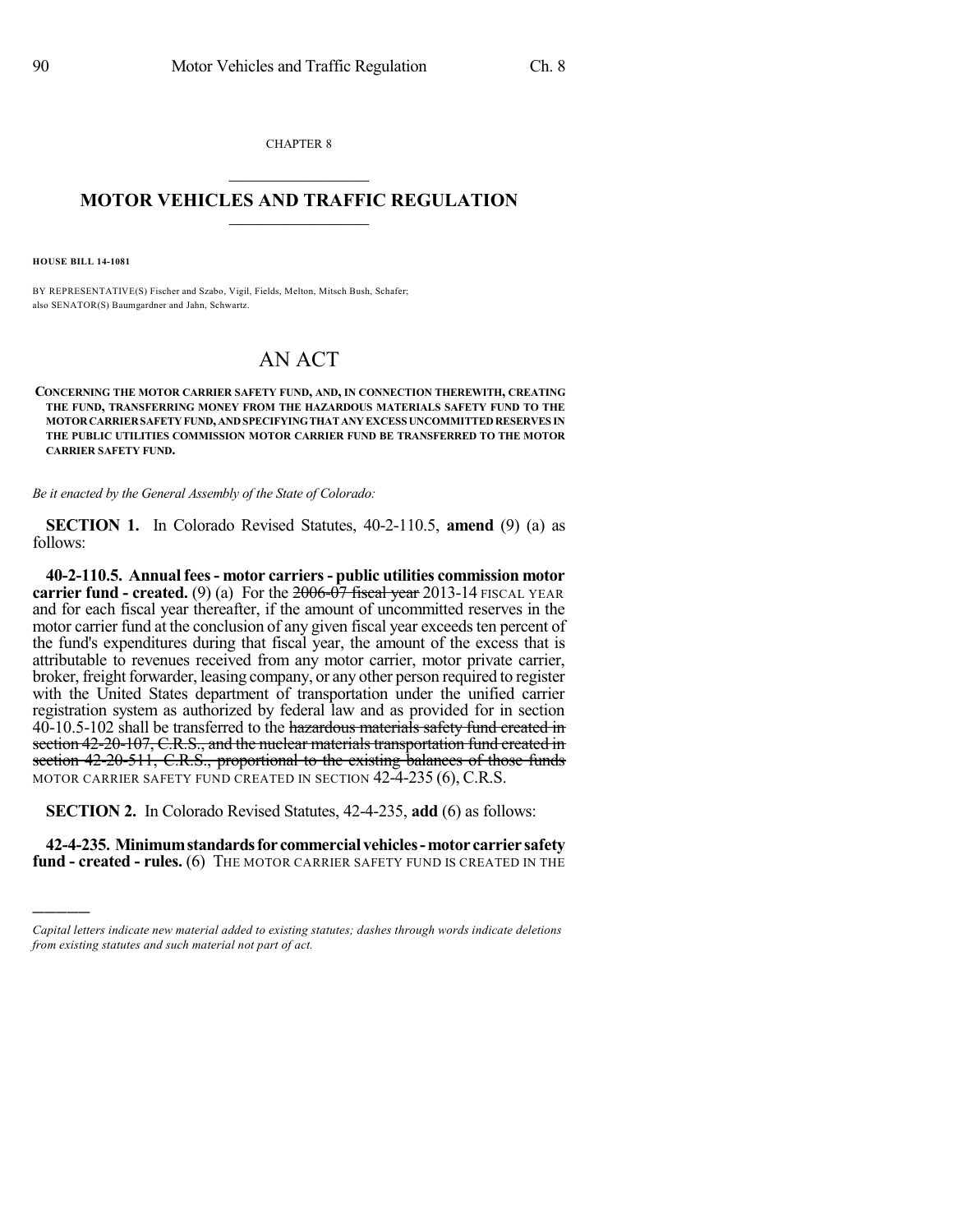CHAPTER 8  $\mathcal{L}_\text{max}$  . The set of the set of the set of the set of the set of the set of the set of the set of the set of the set of the set of the set of the set of the set of the set of the set of the set of the set of the set

## **MOTOR VEHICLES AND TRAFFIC REGULATION**  $\_$   $\_$   $\_$   $\_$   $\_$   $\_$   $\_$   $\_$   $\_$   $\_$

**HOUSE BILL 14-1081**

)))))

BY REPRESENTATIVE(S) Fischer and Szabo, Vigil, Fields, Melton, Mitsch Bush, Schafer; also SENATOR(S) Baumgardner and Jahn, Schwartz.

## AN ACT

**CONCERNING THE MOTOR CARRIER SAFETY FUND, AND, IN CONNECTION THEREWITH, CREATING THE FUND, TRANSFERRING MONEY FROM THE HAZARDOUS MATERIALS SAFETY FUND TO THE MOTORCARRIERSAFETYFUND,ANDSPECIFYINGTHATANYEXCESS UNCOMMITTEDRESERVES IN THE PUBLIC UTILITIES COMMISSION MOTOR CARRIER FUND BE TRANSFERRED TO THE MOTOR CARRIER SAFETY FUND.**

*Be it enacted by the General Assembly of the State of Colorado:*

**SECTION 1.** In Colorado Revised Statutes, 40-2-110.5, **amend** (9) (a) as follows:

**40-2-110.5. Annual fees- motor carriers- public utilities commission motor carrier fund - created.** (9) (a) For the  $\frac{2006 - 07}{7}$  fiscal year 2013-14 FISCAL YEAR and for each fiscal year thereafter, if the amount of uncommitted reserves in the motor carrier fund at the conclusion of any given fiscal year exceeds ten percent of the fund's expenditures during that fiscal year, the amount of the excess that is attributable to revenues received from any motor carrier, motor private carrier, broker, freight forwarder, leasing company, or any other person required to register with the United States department of transportation under the unified carrier registration system as authorized by federal law and as provided for in section 40-10.5-102 shall be transferred to the hazardous materials safety fund created in section 42-20-107, C.R.S., and the nuclear materials transportation fund created in section 42-20-511, C.R.S., proportional to the existing balances of those funds MOTOR CARRIER SAFETY FUND CREATED IN SECTION 42-4-235 (6), C.R.S.

**SECTION 2.** In Colorado Revised Statutes, 42-4-235, **add** (6) as follows:

**42-4-235. Minimumstandardsfor commercial vehicles-motor carrier safety fund - created - rules.** (6) THE MOTOR CARRIER SAFETY FUND IS CREATED IN THE

*Capital letters indicate new material added to existing statutes; dashes through words indicate deletions from existing statutes and such material not part of act.*